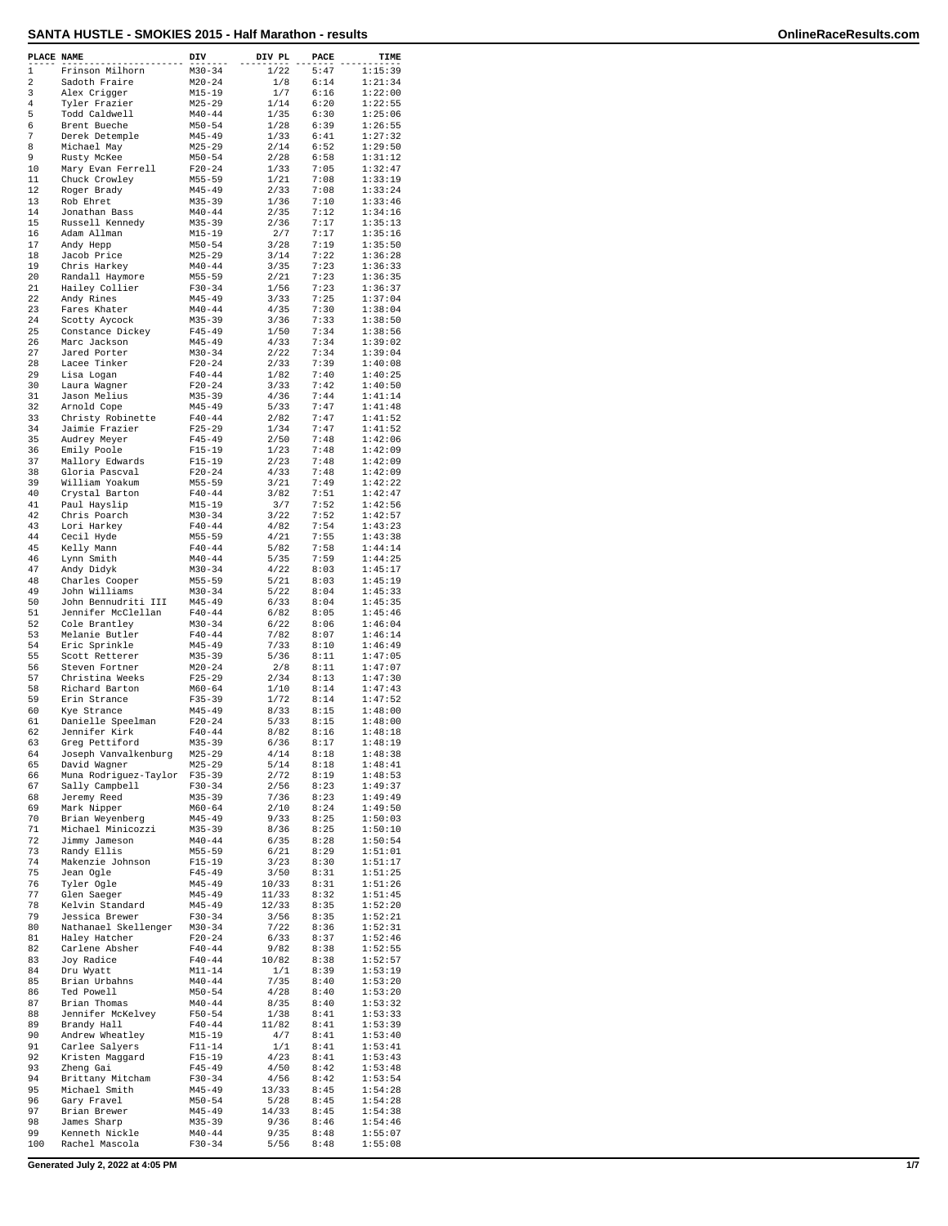| PLACE NAME   |                                   | DIV                      | DIV PL        | PACE         | TIME               |
|--------------|-----------------------------------|--------------------------|---------------|--------------|--------------------|
| $\mathbf{1}$ | Frinson Milhorn                   | $M30 - 34$               | 1/22          | 5:47         | 1:15:39            |
| 2            | Sadoth Fraire                     | $M20 - 24$               | 1/8           | 6:14         | 1:21:34            |
| 3            | Alex Crigger                      | $M15 - 19$               | 1/7           | 6:16         | 1:22:00            |
| 4            | Tyler Frazier                     | $M25 - 29$               | 1/14          | 6:20         | 1:22:55            |
| 5            | Todd Caldwell                     | $M40 - 44$               | 1/35          | 6:30         | 1:25:06            |
| 6            | Brent Bueche                      | $M50 - 54$               | 1/28          | 6:39         | 1:26:55            |
| 7            | Derek Detemple                    | $M45 - 49$               | 1/33          | 6:41         | 1:27:32            |
| 8            | Michael May                       | $M25 - 29$               | 2/14          | 6:52         | 1:29:50            |
| 9            | Rusty McKee                       | $M50 - 54$               | 2/28          | 6:58         | 1:31:12            |
| 10           | Mary Evan Ferrell                 | $F20 - 24$               | 1/33          | 7:05         | 1:32:47            |
| 11           | Chuck Crowley                     | $M55 - 59$               | 1/21          | 7:08         | 1:33:19            |
| 12           | Roger Brady                       | $M45 - 49$               | 2/33          | 7:08         | 1:33:24            |
| 13           | Rob Ehret                         | $M35 - 39$               | 1/36          | 7:10         | 1:33:46            |
| 14           | Jonathan Bass                     | $M40 - 44$               | 2/35          | 7:12         | 1:34:16            |
| 15           | Russell Kennedy                   | $M35 - 39$               | 2/36          | 7:17         | 1:35:13            |
| 16           | Adam Allman                       | $M15 - 19$               | 2/7           | 7:17         | 1:35:16            |
| 17           | Andy Hepp<br>Jacob Price          | $M50 - 54$               | 3/28          | 7:19<br>7:22 | 1:35:50<br>1:36:28 |
| 18<br>19     | Chris Harkey                      | $M25 - 29$<br>$M40 - 44$ | 3/14          | 7:23         | 1:36:33            |
| 20           | Randall Haymore                   | $M55 - 59$               | 3/35          | 7:23         | 1:36:35            |
| 21           | Hailey Collier                    | $F30-34$                 | 2/21<br>1/56  | 7:23         | 1:36:37            |
| 22           | Andy Rines                        | $M45 - 49$               | 3/33          | 7:25         | 1:37:04            |
| 23           | Fares Khater                      | $M40 - 44$               | 4/35          | 7:30         | 1:38:04            |
| 24           | Scotty Aycock                     | $M35 - 39$               | 3/36          | 7:33         | 1:38:50            |
| 25           | Constance Dickey                  | $F45 - 49$               | 1/50          | 7:34         | 1:38:56            |
| 26           | Marc Jackson                      | $M45 - 49$               | 4/33          | 7:34         | 1:39:02            |
| 27           | Jared Porter                      | $M30 - 34$               | 2/22          | 7:34         | 1:39:04            |
| 28           | Lacee Tinker                      | $F20 - 24$               | 2/33          | 7:39         | 1:40:08            |
| 29           | Lisa Logan                        | $F40 - 44$               | 1/82          | 7:40         | 1:40:25            |
| 30           | Laura Wagner                      | $F20-24$                 | 3/33          | 7:42         | 1:40:50            |
| 31           | Jason Melius                      | $M35 - 39$               | 4/36          | 7:44         | 1:41:14            |
| 32           | Arnold Cope                       | $M45 - 49$               | 5/33          | 7:47         | 1:41:48            |
| 33           | Christy Robinette                 | $F40 - 44$               | 2/82          | 7:47         | 1:41:52            |
| 34           | Jaimie Frazier                    | $F25 - 29$               | 1/34          | 7:47         | 1:41:52            |
| 35           | Audrey Meyer                      | $F45 - 49$               | 2/50          | 7:48         | 1:42:06            |
| 36           | Emily Poole                       | $F15 - 19$               | 1/23          | 7:48         | 1:42:09            |
| 37           | Mallory Edwards                   | $F15-19$                 | 2/23          | 7:48         | 1:42:09            |
| 38           | Gloria Pascval                    | $F20 - 24$               | 4/33          | 7:48         | 1:42:09            |
| 39           | William Yoakum                    | $M55 - 59$               | 3/21          | 7:49         | 1:42:22            |
| 40           | Crystal Barton                    | $F40 - 44$               | 3/82          | 7:51         | 1:42:47            |
| 41           | Paul Hayslip                      | $M15 - 19$               | 3/7           | 7:52         | 1:42:56            |
| 42           | Chris Poarch                      | $M30 - 34$               | 3/22          | 7:52         | 1:42:57            |
| 43           | Lori Harkey                       | $F40 - 44$               | 4/82          | 7:54         | 1:43:23            |
| 44           | Cecil Hyde                        | $M55 - 59$               | 4/21          | 7:55         | 1:43:38            |
| 45           | Kelly Mann                        | $F40 - 44$               | 5/82          | 7:58         | 1:44:14            |
| 46           | Lynn Smith                        | $M40 - 44$               | 5/35          | 7:59         | 1:44:25            |
| 47           | Andy Didyk                        | $M30 - 34$               | 4/22          | 8:03         | 1:45:17            |
| 48           | Charles Cooper                    | $M55 - 59$               | 5/21          | 8:03         | 1:45:19            |
| 49           | John Williams                     | $M30 - 34$               | 5/22          | 8:04         | 1:45:33            |
| 50           | John Bennudriti III               | $M45 - 49$               | 6/33          | 8:04         | 1:45:35            |
| 51           | Jennifer McClellan                | $F40 - 44$               | 6/82          | 8:05         | 1:45:46            |
| 52           | Cole Brantley                     | $M30 - 34$               | 6/22          | 8:06         | 1:46:04            |
| 53           | Melanie Butler                    | $F40 - 44$               | 7/82          | 8:07         | 1:46:14            |
| 54<br>55     | Eric Sprinkle                     | $M45 - 49$               | 7/33          | 8:10         | 1:46:49            |
| 56           | Scott Retterer                    | M35-39                   | 5/36<br>$2/8$ | 8:11<br>8:11 | 1:47:05<br>1:47:07 |
| 57           | Steven Fortner<br>Christina Weeks | $M20 - 24$<br>$F25 - 29$ | 2/34          | 8:13         | 1:47:30            |
| 58           | Richard Barton                    | $M60 - 64$               | 1/10          | 8:14         | 1:47:43            |
| 59           | Erin Strance                      | $F35 - 39$               | 1/72          | 8:14         | 1:47:52            |
| 60           | Kye Strance                       | $M45 - 49$               | 8/33          | 8:15         | 1:48:00            |
| 61           | Danielle Speelman                 | $F20-24$                 | 5/33          | 8:15         | 1:48:00            |
| 62           | Jennifer Kirk                     | $F40 - 44$               | 8/82          | 8:16         | 1:48:18            |
| 63           | Greg Pettiford                    | $M35 - 39$               | 6/36          | 8:17         | 1:48:19            |
| 64           | Joseph Vanvalkenburg              | M25-29                   | 4/14          | 8:18         | 1:48:38            |
| 65           | David Wagner                      | $M25 - 29$               | 5/14          | 8:18         | 1:48:41            |
| 66           | Muna Rodriguez-Taylor             | $F35 - 39$               | 2/72          | 8:19         | 1:48:53            |
| 67           | Sally Campbell                    | $F30-34$                 | 2/56          | 8:23         | 1:49:37            |
| 68           | Jeremy Reed                       | $M35 - 39$               | 7/36          | 8:23         | 1:49:49            |
| 69           | Mark Nipper                       | $M60 - 64$               | 2/10          | 8:24         | 1:49:50            |
| 70           | Brian Weyenberg                   | $M45 - 49$               | 9/33          | 8:25         | 1:50:03            |
| 71           | Michael Minicozzi                 | $M35 - 39$               | 8/36          | 8:25         | 1:50:10            |
| 72           | Jimmy Jameson                     | $M40 - 44$               | 6/35          | 8:28         | 1:50:54            |
| 73           | Randy Ellis                       | $M55 - 59$               | 6/21          | 8:29         | 1:51:01            |
| 74           | Makenzie Johnson                  | $F15 - 19$               | 3/23          | 8:30         | 1:51:17            |
| 75           | Jean Ogle                         | $F45 - 49$               | 3/50          | 8:31         | 1:51:25            |
| 76           | Tyler Ogle                        | $M45 - 49$               | 10/33         | 8:31         | 1:51:26            |
| 77           | Glen Saeger                       | $M45 - 49$               | 11/33         | 8:32         | 1:51:45            |
| 78           | Kelvin Standard                   | $M45 - 49$               | 12/33         | 8:35         | 1:52:20            |
| 79           | Jessica Brewer                    | $F30-34$                 | 3/56          | 8:35         | 1:52:21            |
| 80           | Nathanael Skellenger              | $M30 - 34$               | 7/22          | 8:36         | 1:52:31            |
| 81           | Haley Hatcher                     | $F20-24$                 | 6/33          | 8:37         | 1:52:46            |
| 82           | Carlene Absher                    | $F40 - 44$               | 9/82          | 8:38         | 1:52:55            |
| 83<br>84     | Joy Radice                        | $F40 - 44$<br>$M11 - 14$ | 10/82         | 8:38         | 1:52:57<br>1:53:19 |
| 85           | Dru Wyatt                         | $M40 - 44$               | 1/1<br>7/35   | 8:39         |                    |
| 86           | Brian Urbahns<br>Ted Powell       | $M50 - 54$               | 4/28          | 8:40<br>8:40 | 1:53:20<br>1:53:20 |
| 87           | Brian Thomas                      | $M40 - 44$               | 8/35          | 8:40         | 1:53:32            |
| 88           | Jennifer McKelvey                 | $F50 - 54$               | 1/38          | 8:41         | 1:53:33            |
| 89           | Brandy Hall                       | $F40 - 44$               | 11/82         | 8:41         | 1:53:39            |
| 90           | Andrew Wheatley                   | $M15 - 19$               | 4/7           | 8:41         | 1:53:40            |
| 91           | Carlee Salyers                    | $F11 - 14$               | 1/1           | 8:41         | 1:53:41            |
| 92           | Kristen Maggard                   | $F15 - 19$               | 4/23          | 8:41         | 1:53:43            |
| 93           | Zheng Gai                         | $F45 - 49$               | 4/50          | 8:42         | 1:53:48            |
| 94           | Brittany Mitcham                  | $F30-34$                 | 4/56          | 8:42         | 1:53:54            |
| 95           | Michael Smith                     | $M45 - 49$               | 13/33         | 8:45         | 1:54:28            |
| 96           | Gary Fravel                       | $M50 - 54$               | 5/28          | 8:45         | 1:54:28            |
| 97           | Brian Brewer                      | $M45 - 49$               | 14/33         | 8:45         | 1:54:38            |
| 98           | James Sharp                       | $M35 - 39$               | 9/36          | 8:46         | 1:54:46            |
| 99           | Kenneth Nickle                    | $M40 - 44$               | 9/35          | 8:48         | 1:55:07            |
| 100          | Rachel Mascola                    | F30-34                   | 5/56          | 8:48         | 1:55:08            |
|              |                                   |                          |               |              |                    |

**Generated July 2, 2022 at 4:05 PM 1/7**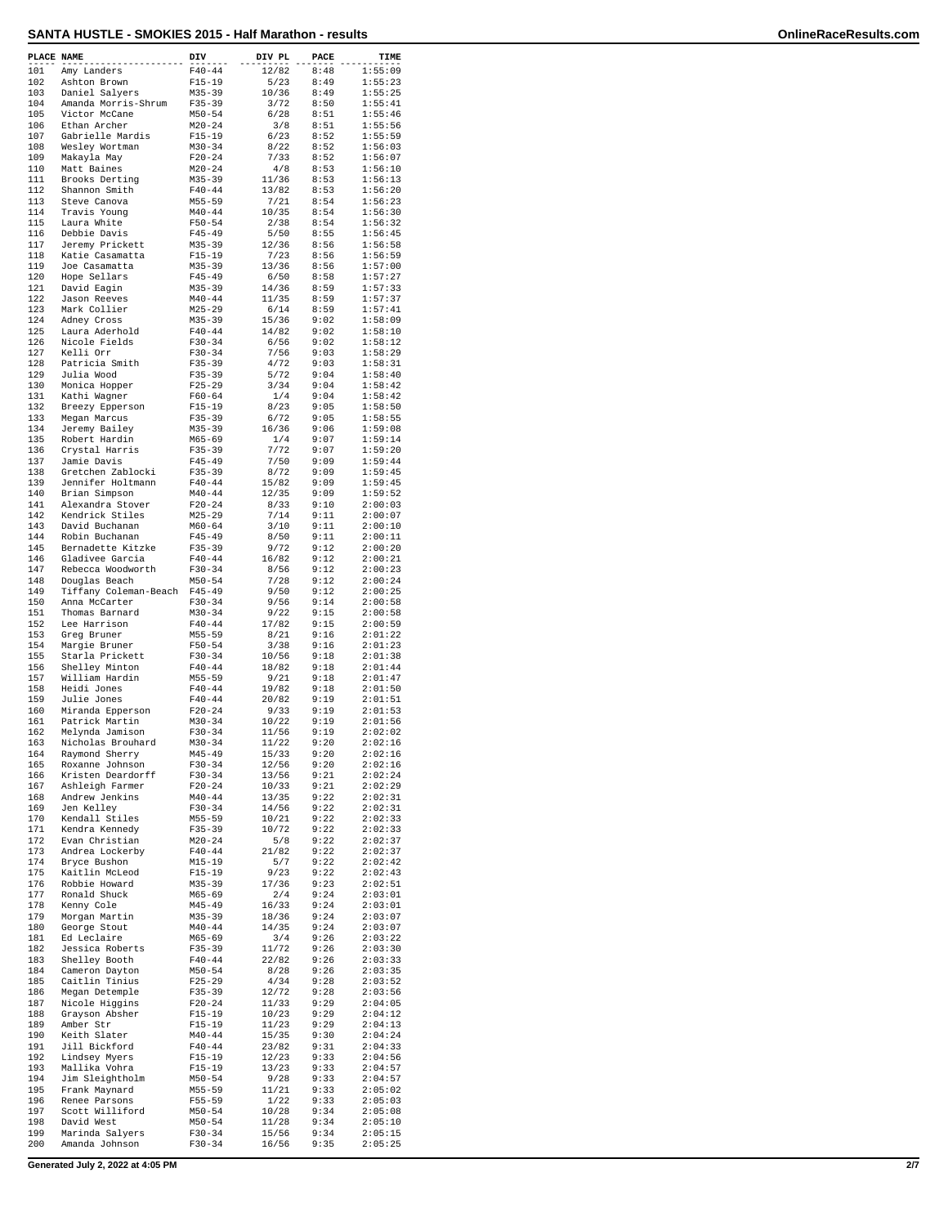| PLACE NAME |                                      | DIV                    | DIV PL         | PACE         | TIME               |
|------------|--------------------------------------|------------------------|----------------|--------------|--------------------|
| 101        | Amy Landers                          | $F40 - 44$             | 12/82          | 8:48         | 1:55:09            |
| 102        | Ashton Brown                         | $F15 - 19$             | 5/23           | 8:49         | 1:55:23            |
| 103        | Daniel Salyers                       | $M35 - 39$             | 10/36          | 8:49         | 1:55:25            |
| 104        | Amanda Morris-Shrum                  | $F35 - 39$             | 3/72           | 8:50         | 1:55:41            |
| 105        | Victor McCane                        | $M50 - 54$             | 6/28           | 8:51         | 1:55:46            |
| 106        | Ethan Archer                         | $M20 - 24$             | 3/8            | 8:51         | 1:55:56            |
| 107        | Gabrielle Mardis                     | $F15 - 19$             | 6/23           | 8:52         | 1:55:59            |
| 108        | Wesley Wortman                       | $M30 - 34$             | 8/22           | 8:52         | 1:56:03            |
| 109        | Makayla May                          | $F20 - 24$             | 7/33           | 8:52         | 1:56:07            |
| 110        | Matt Baines                          | $M20 - 24$             | 4/8            | 8:53         | 1:56:10            |
| 111        | Brooks Derting                       | $M35 - 39$             | 11/36          | 8:53         | 1:56:13            |
| 112        | Shannon Smith                        | $F40 - 44$             | 13/82          | 8:53         | 1:56:20            |
| 113        | Steve Canova                         | $M55 - 59$             | 7/21           | 8:54         | 1:56:23            |
| 114        | Travis Young                         | $M40 - 44$             | 10/35          | 8:54         | 1:56:30            |
| 115        | Laura White                          | $F50 - 54$             | 2/38           | 8:54         | 1:56:32            |
| 116        | Debbie Davis                         | $F45 - 49$             | 5/50           | 8:55         | 1:56:45            |
| 117        | Jeremy Prickett                      | $M35 - 39$             | 12/36          | 8:56         | 1:56:58            |
| 118        | Katie Casamatta                      | $F15-19$               | 7/23           | 8:56         | 1:56:59            |
| 119        | Joe Casamatta                        | $M35 - 39$             | 13/36          | 8:56         | 1:57:00            |
| 120        | Hope Sellars                         | $F45 - 49$             | 6/50           | 8:58         | 1:57:27            |
| 121        | David Eagin                          | $M35 - 39$             | 14/36          | 8:59         | 1:57:33            |
| 122        | Jason Reeves                         | $M40 - 44$             | 11/35          | 8:59         | 1:57:37            |
| 123        | Mark Collier                         | $M25 - 29$             | 6/14           | 8:59         | 1:57:41            |
| 124        | Adney Cross                          | $M35 - 39$             | 15/36          | 9:02         | 1:58:09            |
| 125        | Laura Aderhold                       | $F40 - 44$             | 14/82          | 9:02         | 1:58:10            |
| 126        | Nicole Fields                        | $F30 - 34$             | 6/56           | 9:02         | 1:58:12            |
| 127        | Kelli Orr                            | $F30-34$               | 7/56           | 9:03         | 1:58:29            |
| 128        | Patricia Smith                       | $F35 - 39$             | 4/72           | 9:03         | 1:58:31            |
| 129        | Julia Wood                           | $F35 - 39$             | 5/72           | 9:04         | 1:58:40            |
| 130        | Monica Hopper                        | $F25 - 29$             | 3/34           | 9:04         | 1:58:42            |
| 131        | Kathi Wagner                         | $F60 - 64$             | 1/4            | 9:04         | 1:58:42            |
| 132        | Breezy Epperson                      | $F15 - 19$             | 8/23           | 9:05         | 1:58:50            |
| 133        | Megan Marcus                         | $F35 - 39$             | 6/72           | 9:05         | 1:58:55            |
| 134        | Jeremy Bailey                        | $M35 - 39$             | 16/36          | 9:06         | 1:59:08            |
| 135        | Robert Hardin                        | $M65 - 69$             | 1/4            | 9:07         | 1:59:14            |
| 136        | Crystal Harris                       | $F35 - 39$             | 7/72           | 9:07         | 1:59:20            |
| 137        | Jamie Davis                          | $F45 - 49$             | 7/50           | 9:09         | 1:59:44            |
| 138        | Gretchen Zablocki                    | $F35 - 39$             | 8/72           | 9:09         | 1:59:45            |
| 139        | Jennifer Holtmann                    | $F40 - 44$             | 15/82          | 9:09         | 1:59:45            |
| 140        | Brian Simpson                        | $M40 - 44$             | 12/35          | 9:09         | 1:59:52            |
| 141        | Alexandra Stover                     | $F20 - 24$             | 8/33           | 9:10         | 2:00:03            |
| 142        | Kendrick Stiles                      | $M25 - 29$             | 7/14           | 9:11         | 2:00:07            |
| 143        | David Buchanan                       | $M60 - 64$             | 3/10           | 9:11         | 2:00:10            |
| 144        | Robin Buchanan                       | $F45 - 49$             | 8/50           | 9:11         | 2:00:11            |
| 145        | Bernadette Kitzke                    | $F35 - 39$             | 9/72           | 9:12         | 2:00:20            |
| 146        | Gladivee Garcia                      | $F40 - 44$             | 16/82          | 9:12         | 2:00:21            |
| 147        | Rebecca Woodworth                    | $F30 - 34$             | 8/56           | 9:12         | 2:00:23            |
| 148        | Douglas Beach                        | $M50 - 54$             | 7/28           | 9:12         | 2:00:24            |
| 149        | Tiffany Coleman-Beach                | $F45 - 49$             | 9/50           | 9:12         | 2:00:25            |
| 150        | Anna McCarter                        | $F30 - 34$             | 9/56           | 9:14         | 2:00:58            |
| 151        | Thomas Barnard                       | $M30 - 34$             | 9/22           | 9:15         | 2:00:58            |
| 152        | Lee Harrison                         | $F40 - 44$             | 17/82          | 9:15         | 2:00:59            |
| 153        | Greg Bruner                          | $M55 - 59$             | 8/21           | 9:16         | 2:01:22            |
| 154        | Margie Bruner                        | $F50 - 54$             | 3/38           | 9:16         | 2:01:23            |
| 155        | Starla Prickett                      | $F30 - 34$             | 10/56          | 9:18         | 2:01:38            |
| 156        | Shelley Minton                       | $F40 - 44$             | 18/82          | 9:18         | 2:01:44            |
| 157        | William Hardin                       | $M55 - 59$             | 9/21           | 9:18         | 2:01:47            |
| 158        | Heidi Jones                          | $F40 - 44$             | 19/82          | 9:18         | 2:01:50            |
| 159        | Julie Jones                          | $F40 - 44$             | 20/82          | 9:19         | 2:01:51            |
| 160        | Miranda Epperson                     | $F20 - 24$             | 9/33           | 9:19         | 2:01:53            |
| 161        | Patrick Martin                       | $M30 - 34$             | 10/22          | 9:19         | 2:01:56            |
| 162        | Melynda Jamison                      | $F30-34$               | 11/56          | 9:19         | 2:02:02            |
| 163        | Nicholas Brouhard                    | $M30 - 34$             | 11/22          | 9:20         | 2:02:16            |
| 164        | Raymond Sherry                       | $M45 - 49$             | 15/33          | 9:20         | 2:02:16            |
| 165<br>166 | Roxanne Johnson                      | F30-34                 | 12/56          | 9:20<br>9:21 | 2:02:16            |
|            | Kristen Deardorff<br>Ashleigh Farmer | $F30-34$               | 13/56          |              | 2:02:24<br>2:02:29 |
| 167        |                                      | $F20 - 24$             | 10/33          | 9:21         |                    |
| 168<br>169 | Andrew Jenkins                       | $M40 - 44$<br>$F30-34$ | 13/35          | 9:22<br>9:22 | 2:02:31<br>2:02:31 |
| 170        | Jen Kelley<br>Kendall Stiles         | M55-59                 | 14/56<br>10/21 | 9:22         | 2:02:33            |
| 171        | Kendra Kennedy                       | $F35 - 39$             | 10/72          | 9:22         | 2:02:33            |
| 172        | Evan Christian                       | $M20 - 24$             | 5/8            | 9:22         | 2:02:37            |
| 173        | Andrea Lockerby                      | $F40 - 44$             | 21/82          | 9:22         | 2:02:37            |
| 174        | Bryce Bushon                         | $M15 - 19$             | 5/7            | 9:22         | 2:02:42            |
| 175        | Kaitlin McLeod                       | $F15-19$               | 9/23           | 9:22         | 2:02:43            |
| 176        | Robbie Howard                        | $M35 - 39$             | 17/36          | 9:23         | 2:02:51            |
| 177        | Ronald Shuck                         | $M65 - 69$             | 2/4            | 9:24         | 2:03:01            |
| 178        | Kenny Cole                           | $M45 - 49$             | 16/33          | 9:24         | 2:03:01            |
| 179        | Morgan Martin                        | $M35 - 39$             | 18/36          | 9:24         | 2:03:07            |
| 180        | George Stout                         | $M40 - 44$             | 14/35          | 9:24         | 2:03:07            |
| 181        | Ed Leclaire                          | $M65 - 69$             | 3/4            | 9:26         | 2:03:22            |
| 182        | Jessica Roberts                      | F35-39                 | 11/72          | 9:26         | 2:03:30            |
| 183        | Shelley Booth                        | $F40 - 44$             | 22/82          | 9:26         | 2:03:33            |
| 184        | Cameron Dayton                       | $M50 - 54$             | 8/28           | 9:26         | 2:03:35            |
| 185        | Caitlin Tinius                       | $F25 - 29$             | 4/34           | 9:28         | 2:03:52            |
| 186        | Megan Detemple                       | $F35 - 39$             | 12/72          | 9:28         | 2:03:56            |
| 187        | Nicole Higgins                       | $F20 - 24$             | 11/33          | 9:29         | 2:04:05            |
| 188        | Grayson Absher                       | F15-19                 | 10/23          | 9:29         | 2:04:12            |
| 189        | Amber Str                            | $F15 - 19$             | 11/23          | 9:29         | 2:04:13            |
| 190        | Keith Slater                         | $M40 - 44$             | 15/35          | 9:30         | 2:04:24            |
| 191        | Jill Bickford                        | $F40 - 44$             | 23/82          | 9:31         | 2:04:33            |
| 192        | Lindsey Myers                        | $F15 - 19$             | 12/23          | 9:33         | 2:04:56            |
| 193        | Mallika Vohra                        | F15-19                 | 13/23          | 9:33         | 2:04:57            |
| 194        | Jim Sleightholm                      | $M50 - 54$             | 9/28           | 9:33         | 2:04:57            |
| 195        | Frank Maynard                        | $M55 - 59$             | 11/21          | 9:33         | 2:05:02            |
| 196        | Renee Parsons                        | F55-59                 | 1/22           | 9:33         | 2:05:03            |
| 197        | Scott Williford                      | $M50 - 54$             | 10/28          | 9:34         | 2:05:08            |
| 198        | David West                           | $M50 - 54$             | 11/28          | 9:34         | 2:05:10            |
| 199        | Marinda Salyers                      | $F30-34$               | 15/56          | 9:34         | 2:05:15            |
| 200        | Amanda Johnson                       | F30-34                 | 16/56          | 9:35         | 2:05:25            |
|            |                                      |                        |                |              |                    |

**Generated July 2, 2022 at 4:05 PM 2/7**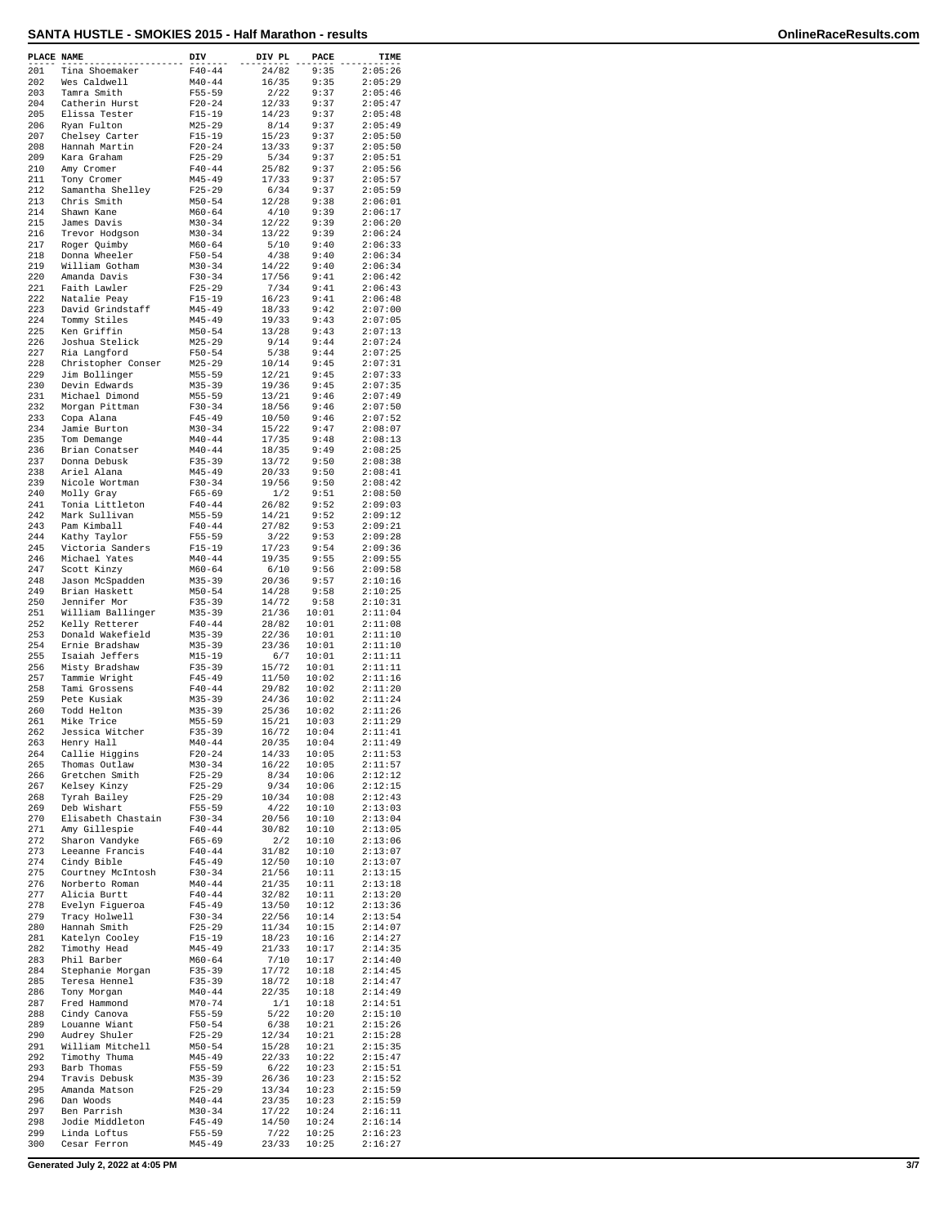## **SANTA HUSTLE - SMOKIES 2015 - Half Marathon - results OnlineRaceResults.com**

| PLACE NAME |                                   | DIV                      | DIV PL         | PACE           | TIME               |
|------------|-----------------------------------|--------------------------|----------------|----------------|--------------------|
| 201        | Tina Shoemaker                    | $F40 - 44$               | 24/82          | 9:35           | 2:05:26            |
| 202        | Wes Caldwell                      | $M40 - 44$               | 16/35          | 9:35           | 2:05:29            |
| 203        | Tamra Smith                       | $F55 - 59$               | 2/22           | 9:37           | 2:05:46            |
| 204        | Catherin Hurst                    | $F20 - 24$               | 12/33          | 9:37           | 2:05:47            |
| 205<br>206 | Elissa Tester<br>Ryan Fulton      | $F15 - 19$<br>$M25 - 29$ | 14/23<br>8/14  | 9:37<br>9:37   | 2:05:48<br>2:05:49 |
| 207        | Chelsey Carter                    | $F15 - 19$               | 15/23          | 9:37           | 2:05:50            |
| 208        | Hannah Martin                     | $F20 - 24$               | 13/33          | 9:37           | 2:05:50            |
| 209        | Kara Graham                       | $F25 - 29$               | 5/34           | 9:37           | 2:05:51            |
| 210        | Amy Cromer                        | $F40 - 44$               | 25/82          | 9:37           | 2:05:56            |
| 211        | Tony Cromer                       | $M45 - 49$               | 17/33          | 9:37           | 2:05:57            |
| 212        | Samantha Shelley                  | $F25 - 29$               | 6/34           | 9:37           | 2:05:59            |
| 213        | Chris Smith                       | $M50 - 54$               | 12/28          | 9:38           | 2:06:01            |
| 214        | Shawn Kane                        | $M60 - 64$               | 4/10           | 9:39           | 2:06:17            |
| 215        | James Davis                       | $M30 - 34$               | 12/22          | 9:39           | 2:06:20            |
| 216        | Trevor Hodgson                    | $M30 - 34$               | 13/22          | 9:39           | 2:06:24            |
| 217        | Roger Ouimby                      | $M60 - 64$               | 5/10           | 9:40           | 2:06:33            |
| 218        | Donna Wheeler                     | $F50 - 54$               | 4/38           | 9:40           | 2:06:34            |
| 219        | William Gotham                    | $M30 - 34$               | 14/22          | 9:40           | 2:06:34            |
| 220        | Amanda Davis                      | $F30 - 34$               | 17/56          | 9:41           | 2:06:42            |
| 221        | Faith Lawler                      | $F25 - 29$               | 7/34           | 9:41           | 2:06:43            |
| 222        | Natalie Peay<br>David Grindstaff  | $F15 - 19$<br>$M45 - 49$ | 16/23          | 9:41<br>9:42   | 2:06:48<br>2:07:00 |
| 223<br>224 | Tommy Stiles                      | $M45 - 49$               | 18/33<br>19/33 | 9:43           | 2:07:05            |
| 225        | Ken Griffin                       | $M50 - 54$               | 13/28          | 9:43           | 2:07:13            |
| 226        | Joshua Stelick                    | $M25 - 29$               | 9/14           | 9:44           | 2:07:24            |
| 227        | Ria Langford                      | $F50 - 54$               | 5/38           | 9:44           | 2:07:25            |
| 228        | Christopher Conser                | $M25 - 29$               | 10/14          | 9:45           | 2:07:31            |
| 229        | Jim Bollinger                     | $M55 - 59$               | 12/21          | 9:45           | 2:07:33            |
| 230        | Devin Edwards                     | $M35 - 39$               | 19/36          | 9:45           | 2:07:35            |
| 231        | Michael Dimond                    | $M55 - 59$               | 13/21          | 9:46           | 2:07:49            |
| 232        | Morgan Pittman                    | $F30-34$                 | 18/56          | 9:46           | 2:07:50            |
| 233        | Copa Alana                        | $F45 - 49$               | 10/50          | 9:46           | 2:07:52            |
| 234        | Jamie Burton                      | $M30 - 34$               | 15/22          | 9:47           | 2:08:07            |
| 235        | Tom Demange                       | $M40 - 44$               | 17/35          | 9:48           | 2:08:13            |
| 236        | Brian Conatser                    | $M40 - 44$               | 18/35          | 9:49           | 2:08:25            |
| 237        | Donna Debusk                      | $F35 - 39$               | 13/72          | 9:50           | 2:08:38            |
| 238<br>239 | Ariel Alana                       | $M45 - 49$               | 20/33          | 9:50<br>9:50   | 2:08:41            |
| 240        | Nicole Wortman                    | $F30 - 34$<br>$F65 - 69$ | 19/56<br>1/2   | 9:51           | 2:08:42<br>2:08:50 |
| 241        | Molly Gray<br>Tonia Littleton     | $F40 - 44$               | 26/82          | 9:52           | 2:09:03            |
| 242        | Mark Sullivan                     | $M55 - 59$               | 14/21          | 9:52           | 2:09:12            |
| 243        | Pam Kimball                       | $F40 - 44$               | 27/82          | 9:53           | 2:09:21            |
| 244        | Kathy Taylor                      | $F55 - 59$               | 3/22           | 9:53           | 2:09:28            |
| 245        | Victoria Sanders                  | $F15 - 19$               | 17/23          | 9:54           | 2:09:36            |
| 246        | Michael Yates                     | $M40 - 44$               | 19/35          | 9:55           | 2:09:55            |
| 247        | Scott Kinzy                       | $M60 - 64$               | 6/10           | 9:56           | 2:09:58            |
| 248        | Jason McSpadden                   | $M35 - 39$               | 20/36          | 9:57           | 2:10:16            |
| 249        | Brian Haskett                     | $M50 - 54$               | 14/28          | 9:58           | 2:10:25            |
| 250        | Jennifer Mor                      | $F35 - 39$               | 14/72          | 9:58           | 2:10:31            |
| 251        | William Ballinger                 | $M35 - 39$               | 21/36          | 10:01          | 2:11:04            |
| 252        | Kelly Retterer                    | $F40 - 44$               | 28/82          | 10:01          | 2:11:08            |
| 253        | Donald Wakefield                  | $M35 - 39$               | 22/36          | 10:01          | 2:11:10            |
| 254        | Ernie Bradshaw                    | $M35 - 39$               | 23/36          | 10:01          | 2:11:10            |
| 255        | Isaiah Jeffers                    | $M15 - 19$               | 6/7            | 10:01          | 2:11:11            |
| 256<br>257 | Misty Bradshaw<br>Tammie Wright   | $F35 - 39$<br>$F45 - 49$ | 15/72<br>11/50 | 10:01<br>10:02 | 2:11:11<br>2:11:16 |
| 258        | Tami Grossens                     | $F40 - 44$               | 29/82          | 10:02          | 2:11:20            |
| 259        | Pete Kusiak                       | $M35 - 39$               | 24/36          | 10:02          | 2:11:24            |
| 260        | Todd Helton                       | $M35 - 39$               | 25/36          | 10:02          | 2:11:26            |
| 261        | Mike Trice                        | $M55 - 59$               | 15/21          | 10:03          | 2:11:29            |
| 262        | Jessica Witcher                   | $F35 - 39$               | 16/72          | 10:04          | 2:11:41            |
| 263        | Henry Hall                        | $M40 - 44$               | 20/35          | 10:04          | 2:11:49            |
| 264        | Callie Higgins                    | $F20 - 24$               | 14/33          | 10:05          | 2:11:53            |
| 265        | Thomas Outlaw                     | $M30 - 34$               | 16/22          | 10:05          | 2:11:57            |
| 266        | Gretchen Smith                    | $F25 - 29$               | 8/34           | 10:06          | 2:12:12            |
| 267        | Kelsey Kinzy                      | $F25 - 29$               | 9/34           | 10:06          | 2:12:15            |
| 268        | Tyrah Bailey                      | $F25 - 29$               | 10/34          | 10:08          | 2:12:43            |
| 269        | Deb Wishart                       | $F55 - 59$               | 4/22           | 10:10          | 2:13:03            |
| 270        | Elisabeth Chastain                | $F30 - 34$               | 20/56          | 10:10          | 2:13:04            |
| 271<br>272 | Amy Gillespie                     | $F40 - 44$               | 30/82<br>2/2   | 10:10          | 2:13:05            |
| 273        | Sharon Vandyke<br>Leeanne Francis | F65-69<br>$F40 - 44$     | 31/82          | 10:10<br>10:10 | 2:13:06<br>2:13:07 |
| 274        | Cindy Bible                       | $F45 - 49$               | 12/50          | 10:10          | 2:13:07            |
| 275        | Courtney McIntosh                 | $F30 - 34$               | 21/56          | 10:11          | 2:13:15            |
| 276        | Norberto Roman                    | $M40 - 44$               | 21/35          | 10:11          | 2:13:18            |
| 277        | Alicia Burtt                      | $F40 - 44$               | 32/82          | 10:11          | 2:13:20            |
| 278        | Evelyn Figueroa                   | $F45 - 49$               | 13/50          | 10:12          | 2:13:36            |
| 279        | Tracy Holwell                     | $F30 - 34$               | 22/56          | 10:14          | 2:13:54            |
| 280        | Hannah Smith                      | $F25 - 29$               | 11/34          | 10:15          | 2:14:07            |
| 281        | Katelyn Cooley                    | $F15 - 19$               | 18/23          | 10:16          | 2:14:27            |
| 282        | Timothy Head                      | $M45 - 49$               | 21/33          | 10:17          | 2:14:35            |
| 283        | Phil Barber                       | $M60 - 64$               | 7/10           | 10:17          | 2:14:40            |
| 284        | Stephanie Morgan                  | $F35 - 39$               | 17/72          | 10:18          | 2:14:45            |
| 285        | Teresa Hennel                     | $F35 - 39$               | 18/72          | 10:18          | 2:14:47            |
| 286        | Tony Morgan                       | $M40 - 44$               | 22/35          | 10:18          | 2:14:49            |
| 287<br>288 | Fred Hammond                      | $M70 - 74$<br>$F55 - 59$ | 1/1<br>5/22    | 10:18          | 2:14:51<br>2:15:10 |
| 289        | Cindy Canova<br>Louanne Wiant     | $F50 - 54$               | 6/38           | 10:20<br>10:21 | 2:15:26            |
| 290        | Audrey Shuler                     | $F25 - 29$               | 12/34          | 10:21          | 2:15:28            |
| 291        | William Mitchell                  | $M50 - 54$               | 15/28          | 10:21          | 2:15:35            |
| 292        | Timothy Thuma                     | $M45 - 49$               | 22/33          | 10:22          | 2:15:47            |
| 293        | Barb Thomas                       | F55-59                   | 6/22           | 10:23          | 2:15:51            |
| 294        | Travis Debusk                     | $M35 - 39$               | 26/36          | 10:23          | 2:15:52            |
| 295        | Amanda Matson                     | $F25 - 29$               | 13/34          | 10:23          | 2:15:59            |
| 296        | Dan Woods                         | $M40 - 44$               | 23/35          | 10:23          | 2:15:59            |
| 297        | Ben Parrish                       | $M30 - 34$               | 17/22          | 10:24          | 2:16:11            |
| 298        | Jodie Middleton                   | $F45 - 49$               | 14/50          | 10:24          | 2:16:14            |
| 299        | Linda Loftus                      | $F55 - 59$               | 7/22           | 10:25          | 2:16:23            |
| 300        | Cesar Ferron                      | $M45 - 49$               | 23/33          | 10:25          | 2:16:27            |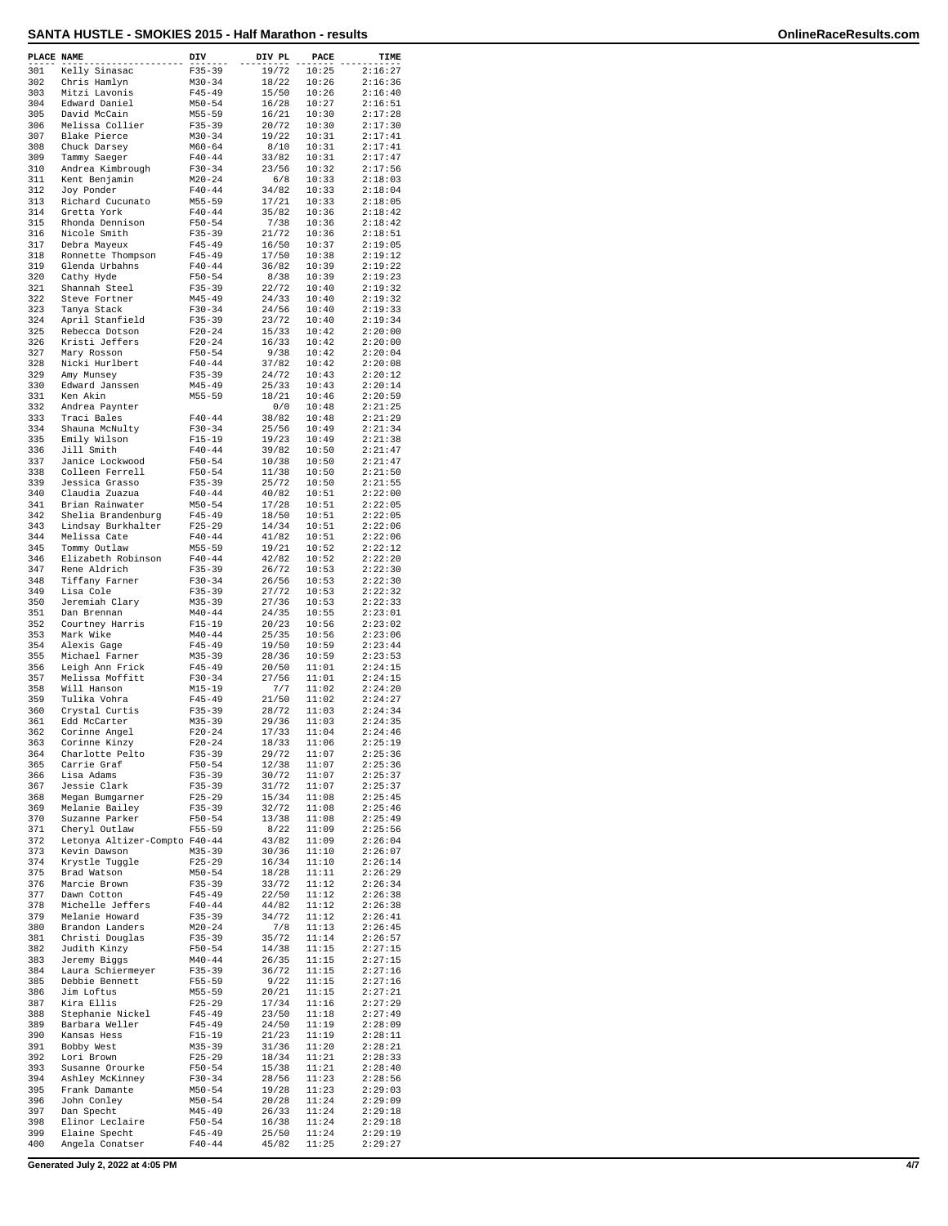| PLACE NAME |                                                | DIV                      | DIV PL         | PACE           | TIME               |
|------------|------------------------------------------------|--------------------------|----------------|----------------|--------------------|
| 301        | Kelly Sinasac                                  | $F35 - 39$               | 19/72          | 10:25          | 2:16:27            |
| 302        | Chris Hamlyn                                   | $M30 - 34$               | 18/22          | 10:26          | 2:16:36            |
| 303<br>304 | Mitzi Lavonis<br>Edward Daniel                 | $F45 - 49$<br>$M50 - 54$ | 15/50<br>16/28 | 10:26<br>10:27 | 2:16:40<br>2:16:51 |
| 305        | David McCain                                   | $M55 - 59$               | 16/21          | 10:30          | 2:17:28            |
| 306<br>307 | Melissa Collier                                | $F35 - 39$               | 20/72          | 10:30          | 2:17:30<br>2:17:41 |
| 308        | Blake Pierce<br>Chuck Darsey                   | $M30 - 34$<br>$M60 - 64$ | 19/22<br>8/10  | 10:31<br>10:31 | 2:17:41            |
| 309        | Tammy Saeger                                   | $F40 - 44$               | 33/82          | 10:31          | 2:17:47            |
| 310<br>311 | Andrea Kimbrough<br>Kent Benjamin              | $F30-34$<br>$M20 - 24$   | 23/56<br>6/8   | 10:32<br>10:33 | 2:17:56<br>2:18:03 |
| 312        | Joy Ponder                                     | $F40 - 44$               | 34/82          | 10:33          | 2:18:04            |
| 313        | Richard Cucunato                               | $M55 - 59$               | 17/21          | 10:33          | 2:18:05            |
| 314<br>315 | Gretta York<br>Rhonda Dennison                 | $F40 - 44$<br>$F50 - 54$ | 35/82<br>7/38  | 10:36<br>10:36 | 2:18:42<br>2:18:42 |
| 316        | Nicole Smith                                   | $F35 - 39$               | 21/72          | 10:36          | 2:18:51            |
| 317        | Debra Mayeux                                   | $F45 - 49$               | 16/50          | 10:37          | 2:19:05            |
| 318<br>319 | Ronnette Thompson<br>Glenda Urbahns            | $F45 - 49$<br>$F40 - 44$ | 17/50<br>36/82 | 10:38<br>10:39 | 2:19:12<br>2:19:22 |
| 320        | Cathy Hyde                                     | $F50 - 54$               | 8/38           | 10:39          | 2:19:23            |
| 321<br>322 | Shannah Steel<br>Steve Fortner                 | $F35 - 39$<br>M45-49     | 22/72<br>24/33 | 10:40<br>10:40 | 2:19:32<br>2:19:32 |
| 323        | Tanya Stack                                    | $F30-34$                 | 24/56          | 10:40          | 2:19:33            |
| 324        | April Stanfield                                | $F35 - 39$               | 23/72          | 10:40          | 2:19:34            |
| 325<br>326 | Rebecca Dotson<br>Kristi Jeffers               | $F20-24$<br>$F20 - 24$   | 15/33<br>16/33 | 10:42<br>10:42 | 2:20:00<br>2:20:00 |
| 327        | Mary Rosson                                    | $F50 - 54$               | 9/38           | 10:42          | 2:20:04            |
| 328<br>329 | Nicki Hurlbert<br>Amy Munsey                   | $F40 - 44$<br>$F35 - 39$ | 37/82<br>24/72 | 10:42<br>10:43 | 2:20:08<br>2:20:12 |
| 330        | Edward Janssen                                 | $M45 - 49$               | 25/33          | 10:43          | 2:20:14            |
| 331        | Ken Akin                                       | M55-59                   | 18/21          | 10:46          | 2:20:59            |
| 332<br>333 | Andrea Paynter<br>Traci Bales                  | $F40 - 44$               | 0/0<br>38/82   | 10:48<br>10:48 | 2:21:25<br>2:21:29 |
| 334        | Shauna McNulty                                 | $F30-34$                 | 25/56          | 10:49          | 2:21:34            |
| 335        | Emily Wilson                                   | $F15 - 19$               | 19/23          | 10:49          | 2:21:38            |
| 336<br>337 | Jill Smith<br>Janice Lockwood                  | $F40 - 44$<br>$F50 - 54$ | 39/82<br>10/38 | 10:50<br>10:50 | 2:21:47<br>2:21:47 |
| 338        | Colleen Ferrell                                | $F50 - 54$               | 11/38          | 10:50          | 2:21:50            |
| 339<br>340 | Jessica Grasso                                 | $F35 - 39$               | 25/72<br>40/82 | 10:50<br>10:51 | 2:21:55<br>2:22:00 |
| 341        | Claudia Zuazua<br>Brian Rainwater              | $F40 - 44$<br>$M50 - 54$ | 17/28          | 10:51          | 2:22:05            |
| 342        | Shelia Brandenburg                             | $F45 - 49$               | 18/50          | 10:51          | 2:22:05            |
| 343<br>344 | Lindsay Burkhalter<br>Melissa Cate             | $F25 - 29$<br>$F40 - 44$ | 14/34<br>41/82 | 10:51<br>10:51 | 2:22:06<br>2:22:06 |
| 345        | Tommy Outlaw                                   | $M55 - 59$               | 19/21          | 10:52          | 2:22:12            |
| 346<br>347 | Elizabeth Robinson<br>Rene Aldrich             | $F40 - 44$<br>$F35 - 39$ | 42/82<br>26/72 | 10:52<br>10:53 | 2:22:20<br>2:22:30 |
| 348        | Tiffany Farner                                 | $F30-34$                 | 26/56          | 10:53          | 2:22:30            |
| 349        | Lisa Cole                                      | $F35 - 39$               | 27/72          | 10:53          | 2:22:32            |
| 350<br>351 | Jeremiah Clary<br>Dan Brennan                  | $M35 - 39$<br>$M40 - 44$ | 27/36<br>24/35 | 10:53<br>10:55 | 2:22:33<br>2:23:01 |
| 352        | Courtney Harris                                | $F15-19$                 | 20/23          | 10:56          | 2:23:02            |
| 353<br>354 | Mark Wike<br>Alexis Gage                       | $M40 - 44$<br>$F45 - 49$ | 25/35<br>19/50 | 10:56<br>10:59 | 2:23:06<br>2:23:44 |
| 355        | Michael Farner                                 | $M35 - 39$               | 28/36          | 10:59          | 2:23:53            |
| 356        | Leigh Ann Frick                                | $F45 - 49$               | 20/50          | 11:01          | 2:24:15            |
| 357<br>358 | Melissa Moffitt<br>Will Hanson                 | $F30-34$<br>$M15 - 19$   | 27/56<br>7/7   | 11:01<br>11:02 | 2:24:15<br>2:24:20 |
| 359        | Tulika Vohra                                   | $F45 - 49$               | 21/50          | 11:02          | 2:24:27            |
| 360<br>361 | Crystal Curtis<br>Edd McCarter                 | $F35 - 39$<br>$M35 - 39$ | 28/72<br>29/36 | 11:03<br>11:03 | 2:24:34<br>2:24:35 |
| 362        | Corinne Angel                                  | $F20 - 24$               | 17/33          | 11:04          | 2:24:46            |
| 363        | Corinne Kinzy                                  | $F20 - 24$               | 18/33          | 11:06          | 2:25:19            |
| 364<br>365 | Charlotte Pelto<br>Carrie Graf                 | $F35 - 39$<br>$F50 - 54$ | 29/72<br>12/38 | 11:07<br>11:07 | 2:25:36<br>2:25:36 |
| 366        | Lisa Adams                                     | $F35 - 39$               | 30/72          | 11:07          | 2:25:37            |
| 367<br>368 | Jessie Clark<br>Megan Bumgarner                | $F35 - 39$<br>$F25 - 29$ | 31/72<br>15/34 | 11:07<br>11:08 | 2:25:37<br>2:25:45 |
| 369        | Melanie Bailey                                 | $F35 - 39$               | 32/72          | 11:08          | 2:25:46            |
| 370        | Suzanne Parker                                 | $F50 - 54$               | 13/38          | 11:08          | 2:25:49            |
| 371<br>372 | Cheryl Outlaw<br>Letonya Altizer-Compto F40-44 | $F55 - 59$               | 8/22<br>43/82  | 11:09<br>11:09 | 2:25:56<br>2:26:04 |
| 373        | Kevin Dawson                                   | $M35 - 39$               | 30/36          | 11:10          | 2:26:07            |
| 374<br>375 | Krystle Tuggle<br>Brad Watson                  | $F25 - 29$<br>$M50 - 54$ | 16/34<br>18/28 | 11:10<br>11:11 | 2:26:14<br>2:26:29 |
| 376        | Marcie Brown                                   | $F35 - 39$               | 33/72          | 11:12          | 2:26:34            |
| 377<br>378 | Dawn Cotton                                    | $F45 - 49$               | 22/50          | 11:12          | 2:26:38            |
| 379        | Michelle Jeffers<br>Melanie Howard             | $F40 - 44$<br>$F35 - 39$ | 44/82<br>34/72 | 11:12<br>11:12 | 2:26:38<br>2:26:41 |
| 380        | Brandon Landers                                | $M20 - 24$               | 7/8            | 11:13          | 2:26:45            |
| 381<br>382 | Christi Douglas<br>Judith Kinzy                | $F35 - 39$<br>$F50 - 54$ | 35/72<br>14/38 | 11:14<br>11:15 | 2:26:57<br>2:27:15 |
| 383        | Jeremy Biggs                                   | $M40 - 44$               | 26/35          | 11:15          | 2:27:15            |
| 384        | Laura Schiermeyer                              | $F35 - 39$               | 36/72          | 11:15          | 2:27:16            |
| 385<br>386 | Debbie Bennett<br>Jim Loftus                   | F55-59<br>$M55 - 59$     | 9/22<br>20/21  | 11:15<br>11:15 | 2:27:16<br>2:27:21 |
| 387        | Kira Ellis                                     | $F25 - 29$               | 17/34          | 11:16          | 2:27:29            |
| 388<br>389 | Stephanie Nickel<br>Barbara Weller             | $F45 - 49$<br>$F45 - 49$ | 23/50<br>24/50 | 11:18<br>11:19 | 2:27:49<br>2:28:09 |
| 390        | Kansas Hess                                    | $F15 - 19$               | 21/23          | 11:19          | 2:28:11            |
| 391        | Bobby West                                     | $M35 - 39$               | 31/36          | 11:20          | 2:28:21            |
| 392<br>393 | Lori Brown<br>Susanne Orourke                  | $F25 - 29$<br>$F50 - 54$ | 18/34<br>15/38 | 11:21<br>11:21 | 2:28:33<br>2:28:40 |
| 394        | Ashley McKinney                                | $F30-34$                 | 28/56          | 11:23          | 2:28:56            |
| 395<br>396 | Frank Damante<br>John Conley                   | $M50 - 54$<br>$M50 - 54$ | 19/28<br>20/28 | 11:23<br>11:24 | 2:29:03<br>2:29:09 |
| 397        | Dan Specht                                     | $M45 - 49$               | 26/33          | 11:24          | 2:29:18            |
| 398<br>399 | Elinor Leclaire                                | $F50 - 54$<br>$F45 - 49$ | 16/38          | 11:24          | 2:29:18<br>2:29:19 |
| 400        | Elaine Specht<br>Angela Conatser               | $F40 - 44$               | 25/50<br>45/82 | 11:24<br>11:25 | 2:29:27            |
|            |                                                |                          |                |                |                    |

**Generated July 2, 2022 at 4:05 PM 4/7**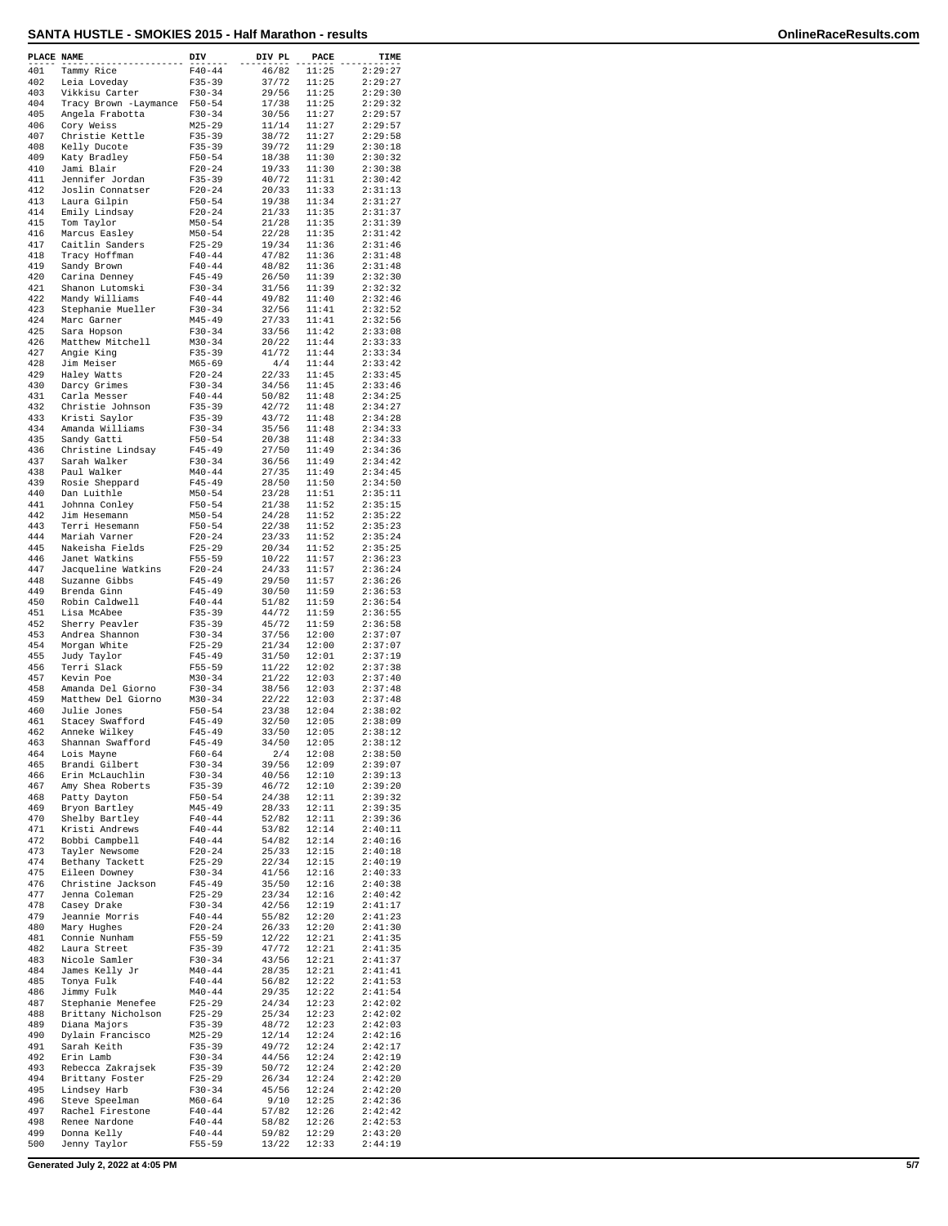| PLACE NAME |                                                | DIV                      | DIV PL         | PACE           | TIME               |
|------------|------------------------------------------------|--------------------------|----------------|----------------|--------------------|
| 401        | Tammy Rice                                     | $F40 - 44$               | 46/82          | 11:25          | 2:29:27            |
| 402        | Leia Loveday                                   | $F35 - 39$               | 37/72          | 11:25          | 2:29:27            |
| 403<br>404 | Vikkisu Carter<br>Tracy Brown -Laymance F50-54 | $F30-34$                 | 29/56<br>17/38 | 11:25<br>11:25 | 2:29:30<br>2:29:32 |
| 405        | Angela Frabotta                                | $F30-34$                 | 30/56          | 11:27          | 2:29:57            |
| 406        | Cory Weiss                                     | $M25 - 29$               | 11/14          | 11:27          | 2:29:57            |
| 407<br>408 | Christie Kettle<br>Kelly Ducote                | $F35 - 39$<br>$F35 - 39$ | 38/72<br>39/72 | 11:27<br>11:29 | 2:29:58<br>2:30:18 |
| 409        | Katy Bradley                                   | $F50 - 54$               | 18/38          | 11:30          | 2:30:32            |
| 410        | Jami Blair                                     | $F20 - 24$               | 19/33          | 11:30          | 2:30:38            |
| 411<br>412 | Jennifer Jordan<br>Joslin Connatser            | $F35 - 39$<br>$F20-24$   | 40/72<br>20/33 | 11:31<br>11:33 | 2:30:42<br>2:31:13 |
| 413        | Laura Gilpin                                   | $F50 - 54$               | 19/38          | 11:34          | 2:31:27            |
| 414        | Emily Lindsay                                  | $F20 - 24$               | 21/33          | 11:35          | 2:31:37            |
| 415<br>416 | Tom Taylor<br>Marcus Easley                    | $M50 - 54$<br>$M50 - 54$ | 21/28<br>22/28 | 11:35<br>11:35 | 2:31:39<br>2:31:42 |
| 417        | Caitlin Sanders                                | $F25 - 29$               | 19/34          | 11:36          | 2:31:46            |
| 418        | Tracy Hoffman                                  | $F40 - 44$               | 47/82          | 11:36          | 2:31:48            |
| 419<br>420 | Sandy Brown                                    | $F40 - 44$<br>$F45 - 49$ | 48/82          | 11:36<br>11:39 | 2:31:48<br>2:32:30 |
| 421        | Carina Denney<br>Shanon Lutomski               | $F30-34$                 | 26/50<br>31/56 | 11:39          | 2:32:32            |
| 422        | Mandy Williams                                 | $F40 - 44$               | 49/82          | 11:40          | 2:32:46            |
| 423<br>424 | Stephanie Mueller                              | $F30-34$<br>$M45 - 49$   | 32/56<br>27/33 | 11:41<br>11:41 | 2:32:52<br>2:32:56 |
| 425        | Marc Garner<br>Sara Hopson                     | $F30-34$                 | 33/56          | 11:42          | 2:33:08            |
| 426        | Matthew Mitchell                               | $M30 - 34$               | 20/22          | 11:44          | 2:33:33            |
| 427        | Angie King                                     | $F35 - 39$               | 41/72          | 11:44          | 2:33:34            |
| 428<br>429 | Jim Meiser<br>Haley Watts                      | $M65 - 69$<br>$F20 - 24$ | 4/4<br>22/33   | 11:44<br>11:45 | 2:33:42<br>2:33:45 |
| 430        | Darcy Grimes                                   | $F30-34$                 | 34/56          | 11:45          | 2:33:46            |
| 431        | Carla Messer                                   | $F40 - 44$               | 50/82          | 11:48          | 2:34:25            |
| 432<br>433 | Christie Johnson<br>Kristi Saylor              | $F35 - 39$<br>$F35 - 39$ | 42/72<br>43/72 | 11:48<br>11:48 | 2:34:27<br>2:34:28 |
| 434        | Amanda Williams                                | $F30-34$                 | 35/56          | 11:48          | 2:34:33            |
| 435        | Sandy Gatti                                    | $F50 - 54$               | 20/38          | 11:48          | 2:34:33            |
| 436<br>437 | Christine Lindsay<br>Sarah Walker              | $F45 - 49$<br>$F30-34$   | 27/50<br>36/56 | 11:49<br>11:49 | 2:34:36<br>2:34:42 |
| 438        | Paul Walker                                    | $M40 - 44$               | 27/35          | 11:49          | 2:34:45            |
| 439        | Rosie Sheppard                                 | $F45 - 49$               | 28/50          | 11:50          | 2:34:50            |
| 440        | Dan Luithle                                    | $M50 - 54$               | 23/28          | 11:51          | 2:35:11            |
| 441<br>442 | Johnna Conley<br>Jim Hesemann                  | $F50 - 54$<br>$M50 - 54$ | 21/38<br>24/28 | 11:52<br>11:52 | 2:35:15<br>2:35:22 |
| 443        | Terri Hesemann                                 | $F50 - 54$               | 22/38          | 11:52          | 2:35:23            |
| 444        | Mariah Varner                                  | $F20 - 24$               | 23/33          | 11:52          | 2:35:24            |
| 445<br>446 | Nakeisha Fields<br>Janet Watkins               | $F25 - 29$<br>F55-59     | 20/34<br>10/22 | 11:52<br>11:57 | 2:35:25<br>2:36:23 |
| 447        | Jacqueline Watkins                             | $F20 - 24$               | 24/33          | 11:57          | 2:36:24            |
| 448        | Suzanne Gibbs                                  | $F45 - 49$               | 29/50          | 11:57          | 2:36:26            |
| 449<br>450 | Brenda Ginn<br>Robin Caldwell                  | $F45 - 49$<br>$F40 - 44$ | 30/50<br>51/82 | 11:59<br>11:59 | 2:36:53<br>2:36:54 |
| 451        | Lisa McAbee                                    | $F35 - 39$               | 44/72          | 11:59          | 2:36:55            |
| 452        | Sherry Peavler                                 | $F35 - 39$               | 45/72          | 11:59          | 2:36:58            |
| 453<br>454 | Andrea Shannon<br>Morgan White                 | $F30 - 34$<br>$F25 - 29$ | 37/56<br>21/34 | 12:00<br>12:00 | 2:37:07<br>2:37:07 |
| 455        | Judy Taylor                                    | $F45 - 49$               | 31/50          | 12:01          | 2:37:19            |
| 456        | Terri Slack                                    | $F55 - 59$               | 11/22          | 12:02          | 2:37:38            |
| 457<br>458 | Kevin Poe<br>Amanda Del Giorno                 | $M30 - 34$               | 21/22          | 12:03<br>12:03 | 2:37:40<br>2:37:48 |
| 459        | Matthew Del Giorno                             | $F30-34$<br>$M30 - 34$   | 38/56<br>22/22 | 12:03          | 2:37:48            |
| 460        | Julie Jones                                    | $F50 - 54$               | 23/38          | 12:04          | 2:38:02            |
| 461        | Stacey Swafford                                | $F45 - 49$<br>$F45 - 49$ | 32/50          | 12:05<br>12:05 | 2:38:09<br>2:38:12 |
| 462<br>463 | Anneke Wilkey<br>Shannan Swafford              | F45-49                   | 33/50<br>34/50 | 12:05          | 2:38:12            |
| 464        | Lois Mayne                                     | $F60 - 64$               | 2/4            | 12:08          | 2:38:50            |
| 465<br>466 | Brandi Gilbert                                 | $F30 - 34$               | 39/56          | 12:09          | 2:39:07            |
| 467        | Erin McLauchlin<br>Amy Shea Roberts            | $F30 - 34$<br>$F35 - 39$ | 40/56<br>46/72 | 12:10<br>12:10 | 2:39:13<br>2:39:20 |
| 468        | Patty Dayton                                   | $F50 - 54$               | 24/38          | 12:11          | 2:39:32            |
| 469        | Bryon Bartley                                  | $M45 - 49$               | 28/33          | 12:11          | 2:39:35            |
| 470<br>471 | Shelby Bartley<br>Kristi Andrews               | $F40 - 44$<br>$F40 - 44$ | 52/82<br>53/82 | 12:11<br>12:14 | 2:39:36<br>2:40:11 |
| 472        | Bobbi Campbell                                 | $F40 - 44$               | 54/82          | 12:14          | 2:40:16            |
| 473        | Tayler Newsome                                 | $F20-24$                 | 25/33          | 12:15          | 2:40:18            |
| 474<br>475 | Bethany Tackett<br>Eileen Downey               | $F25 - 29$<br>$F30 - 34$ | 22/34<br>41/56 | 12:15<br>12:16 | 2:40:19<br>2:40:33 |
| 476        | Christine Jackson                              | $F45 - 49$               | 35/50          | 12:16          | 2:40:38            |
| 477        | Jenna Coleman                                  | $F25 - 29$               | 23/34          | 12:16          | 2:40:42            |
| 478<br>479 | Casey Drake<br>Jeannie Morris                  | $F30-34$<br>$F40 - 44$   | 42/56<br>55/82 | 12:19<br>12:20 | 2:41:17<br>2:41:23 |
| 480        | Mary Hughes                                    | $F20 - 24$               | 26/33          | 12:20          | 2:41:30            |
| 481        | Connie Nunham                                  | $F55 - 59$               | 12/22          | 12:21          | 2:41:35            |
| 482        | Laura Street                                   | $F35 - 39$               | 47/72          | 12:21          | 2:41:35            |
| 483<br>484 | Nicole Samler<br>James Kelly Jr                | $F30 - 34$<br>$M40 - 44$ | 43/56<br>28/35 | 12:21<br>12:21 | 2:41:37<br>2:41:41 |
| 485        | Tonya Fulk                                     | $F40 - 44$               | 56/82          | 12:22          | 2:41:53            |
| 486        | Jimmy Fulk                                     | $M40 - 44$               | 29/35          | 12:22          | 2:41:54            |
| 487<br>488 | Stephanie Menefee<br>Brittany Nicholson        | $F25 - 29$<br>$F25 - 29$ | 24/34<br>25/34 | 12:23<br>12:23 | 2:42:02<br>2:42:02 |
| 489        | Diana Majors                                   | $F35 - 39$               | 48/72          | 12:23          | 2:42:03            |
| 490        | Dylain Francisco                               | $M25 - 29$               | 12/14          | 12:24          | 2:42:16            |
| 491<br>492 | Sarah Keith<br>Erin Lamb                       | $F35 - 39$<br>$F30-34$   | 49/72<br>44/56 | 12:24<br>12:24 | 2:42:17<br>2:42:19 |
| 493        | Rebecca Zakrajsek                              | $F35 - 39$               | 50/72          | 12:24          | 2:42:20            |
| 494        | Brittany Foster                                | $F25 - 29$               | 26/34          | 12:24          | 2:42:20            |
| 495<br>496 | Lindsey Harb<br>Steve Speelman                 | $F30 - 34$<br>$M60 - 64$ | 45/56<br>9/10  | 12:24<br>12:25 | 2:42:20<br>2:42:36 |
| 497        | Rachel Firestone                               | $F40 - 44$               | 57/82          | 12:26          | 2:42:42            |
| 498        | Renee Nardone                                  | $F40 - 44$               | 58/82          | 12:26          | 2:42:53            |
| 499        | Donna Kelly                                    | $F40 - 44$               | 59/82          | 12:29          | 2:43:20            |
| 500        | Jenny Taylor                                   | $F55 - 59$               | 13/22          | 12:33          | 2:44:19            |

**Generated July 2, 2022 at 4:05 PM 5/7**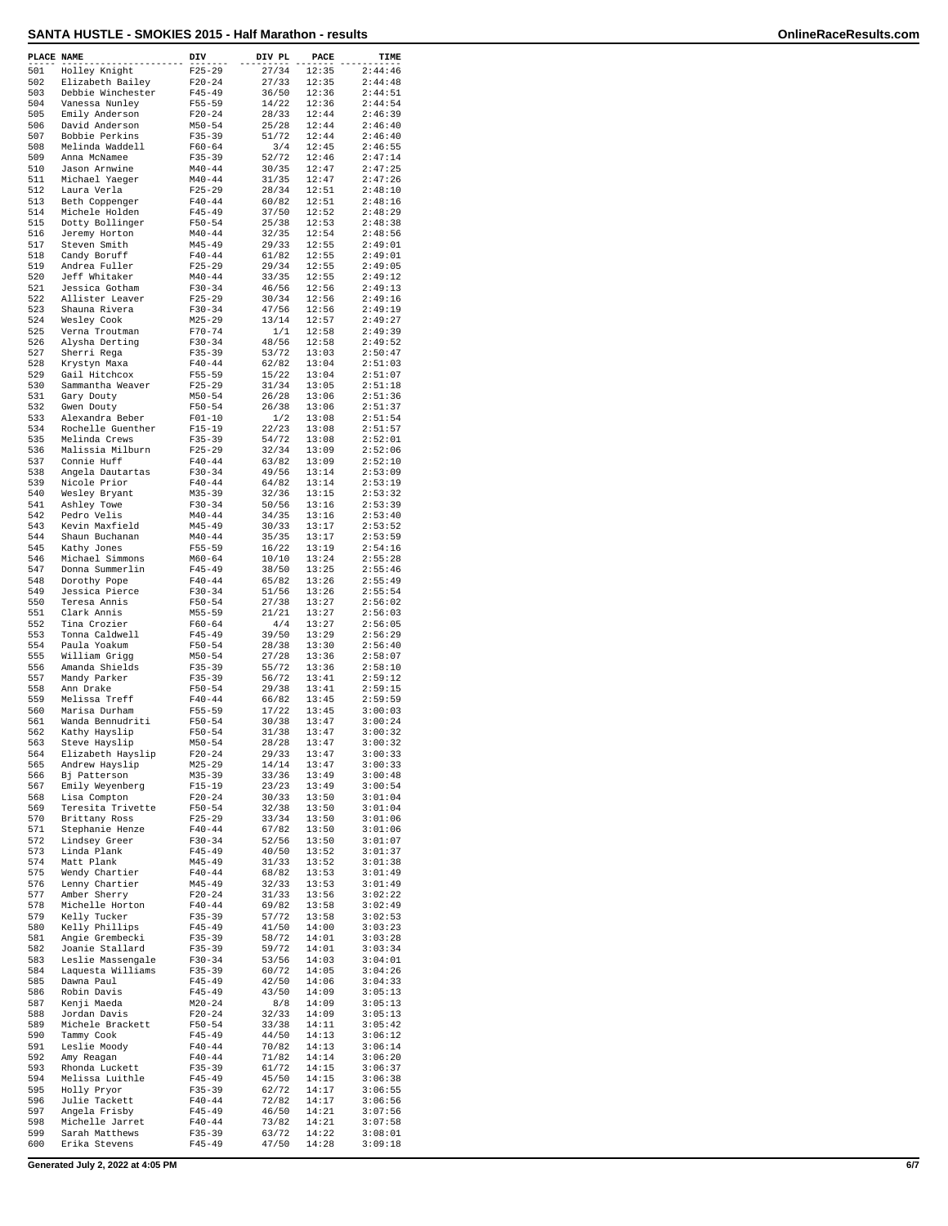## **SANTA HUSTLE - SMOKIES 2015 - Half Marathon - results OnlineRaceResults.com**

| PLACE NAME |                                    | DIV                      | DIV PL         | PACE           | TIME               |
|------------|------------------------------------|--------------------------|----------------|----------------|--------------------|
| 501        | Holley Knight                      | $F25 - 29$               | 27/34          | 12:35          | 2:44:46            |
| 502        | Elizabeth Bailey                   | $F20 - 24$               | 27/33          | 12:35          | 2:44:48            |
| 503        | Debbie Winchester                  | $F45 - 49$               | 36/50          | 12:36          | 2:44:51            |
| 504<br>505 | Vanessa Nunley<br>Emily Anderson   | $F55 - 59$<br>$F20 - 24$ | 14/22<br>28/33 | 12:36<br>12:44 | 2:44:54<br>2:46:39 |
| 506        | David Anderson                     | $M50 - 54$               | 25/28          | 12:44          | 2:46:40            |
| 507        | Bobbie Perkins                     | $F35 - 39$               | 51/72          | 12:44          | 2:46:40            |
| 508        | Melinda Waddell                    | $F60 - 64$               | 3/4            | 12:45          | 2:46:55            |
| 509        | Anna McNamee                       | $F35 - 39$               | 52/72          | 12:46          | 2:47:14            |
| 510        | Jason Arnwine                      | $M40 - 44$               | 30/35          | 12:47          | 2:47:25            |
| 511        | Michael Yaeger                     | $M40 - 44$               | 31/35          | 12:47          | 2:47:26            |
| 512        | Laura Verla                        | $F25 - 29$               | 28/34          | 12:51          | 2:48:10            |
| 513        | Beth Coppenger                     | $F40 - 44$               | 60/82          | 12:51          | 2:48:16            |
| 514<br>515 | Michele Holden                     | $F45 - 49$<br>$F50 - 54$ | 37/50<br>25/38 | 12:52<br>12:53 | 2:48:29<br>2:48:38 |
| 516        | Dotty Bollinger<br>Jeremy Horton   | $M40 - 44$               | 32/35          | 12:54          | 2:48:56            |
| 517        | Steven Smith                       | $M45 - 49$               | 29/33          | 12:55          | 2:49:01            |
| 518        | Candy Boruff                       | $F40 - 44$               | 61/82          | 12:55          | 2:49:01            |
| 519        | Andrea Fuller                      | $F25 - 29$               | 29/34          | 12:55          | 2:49:05            |
| 520        | Jeff Whitaker                      | $M40 - 44$               | 33/35          | 12:55          | 2:49:12            |
| 521        | Jessica Gotham                     | $F30-34$                 | 46/56          | 12:56          | 2:49:13            |
| 522        | Allister Leaver                    | $F25 - 29$               | 30/34          | 12:56          | 2:49:16            |
| 523        | Shauna Rivera                      | $F30 - 34$               | 47/56          | 12:56          | 2:49:19            |
| 524<br>525 | Wesley Cook                        | $M25 - 29$               | 13/14          | 12:57          | 2:49:27            |
| 526        | Verna Troutman<br>Alysha Derting   | $F70 - 74$<br>$F30 - 34$ | 1/1<br>48/56   | 12:58<br>12:58 | 2:49:39<br>2:49:52 |
| 527        | Sherri Rega                        | $F35 - 39$               | 53/72          | 13:03          | 2:50:47            |
| 528        | Krystyn Maxa                       | $F40 - 44$               | 62/82          | 13:04          | 2:51:03            |
| 529        | Gail Hitchcox                      | $F55 - 59$               | 15/22          | 13:04          | 2:51:07            |
| 530        | Sammantha Weaver                   | $F25 - 29$               | 31/34          | 13:05          | 2:51:18            |
| 531        | Gary Douty                         | $M50 - 54$               | 26/28          | 13:06          | 2:51:36            |
| 532        | Gwen Douty                         | $F50 - 54$               | 26/38          | 13:06          | 2:51:37            |
| 533        | Alexandra Beber                    | $F01 - 10$               | 1/2            | 13:08          | 2:51:54            |
| 534        | Rochelle Guenther                  | $F15 - 19$               | 22/23          | 13:08          | 2:51:57            |
| 535<br>536 | Melinda Crews<br>Malissia Milburn  | $F35 - 39$<br>$F25 - 29$ | 54/72<br>32/34 | 13:08<br>13:09 | 2:52:01<br>2:52:06 |
| 537        | Connie Huff                        | $F40 - 44$               | 63/82          | 13:09          | 2:52:10            |
| 538        | Angela Dautartas                   | $F30 - 34$               | 49/56          | 13:14          | 2:53:09            |
| 539        | Nicole Prior                       | $F40 - 44$               | 64/82          | 13:14          | 2:53:19            |
| 540        | Wesley Bryant                      | $M35 - 39$               | 32/36          | 13:15          | 2:53:32            |
| 541        | Ashley Towe                        | $F30 - 34$               | 50/56          | 13:16          | 2:53:39            |
| 542        | Pedro Velis                        | $M40 - 44$               | 34/35          | 13:16          | 2:53:40            |
| 543        | Kevin Maxfield                     | $M45 - 49$               | 30/33          | 13:17          | 2:53:52            |
| 544        | Shaun Buchanan                     | $M40 - 44$               | 35/35          | 13:17          | 2:53:59            |
| 545        | Kathy Jones                        | $F55 - 59$               | 16/22          | 13:19          | 2:54:16            |
| 546<br>547 | Michael Simmons<br>Donna Summerlin | $M60 - 64$<br>$F45 - 49$ | 10/10<br>38/50 | 13:24<br>13:25 | 2:55:28<br>2:55:46 |
| 548        | Dorothy Pope                       | $F40 - 44$               | 65/82          | 13:26          | 2:55:49            |
| 549        | Jessica Pierce                     | $F30-34$                 | 51/56          | 13:26          | 2:55:54            |
| 550        | Teresa Annis                       | $F50 - 54$               | 27/38          | 13:27          | 2:56:02            |
| 551        | Clark Annis                        | $M55 - 59$               | 21/21          | 13:27          | 2:56:03            |
| 552        | Tina Crozier                       | $F60 - 64$               | 4/4            | 13:27          | 2:56:05            |
| 553        | Tonna Caldwell                     | $F45 - 49$               | 39/50          | 13:29          | 2:56:29            |
| 554        | Paula Yoakum                       | $F50 - 54$               | 28/38          | 13:30          | 2:56:40            |
| 555        | William Grigg                      | $M50 - 54$               | 27/28          | 13:36          | 2:58:07            |
| 556<br>557 | Amanda Shields                     | $F35 - 39$<br>$F35 - 39$ | 55/72<br>56/72 | 13:36<br>13:41 | 2:58:10<br>2:59:12 |
| 558        | Mandy Parker<br>Ann Drake          | $F50 - 54$               | 29/38          | 13:41          | 2:59:15            |
| 559        | Melissa Treff                      | $F40 - 44$               | 66/82          | 13:45          | 2:59:59            |
| 560        | Marisa Durham                      | $F55 - 59$               | 17/22          | 13:45          | 3:00:03            |
| 561        | Wanda Bennudriti                   | $F50 - 54$               | 30/38          | 13:47          | 3:00:24            |
| 562        | Kathy Hayslip                      | $F50 - 54$               | 31/38          | 13:47          | 3:00:32            |
| 563        | Steve Hayslip                      | $M50 - 54$               | 28/28          | 13:47          | 3:00:32            |
| 564        | Elizabeth Hayslip                  | $F20 - 24$               | 29/33          | 13:47          | 3:00:33            |
| 565        | Andrew Hayslip                     | $M25 - 29$               | 14/14          | 13:47          | 3:00:33            |
| 566<br>567 | Bj Patterson<br>Emily Weyenberg    | $M35 - 39$               | 33/36<br>23/23 | 13:49<br>13:49 | 3:00:48<br>3:00:54 |
| 568        | Lisa Compton                       | F15-19<br>$F20 - 24$     | 30/33          | 13:50          | 3:01:04            |
| 569        | Teresita Trivette                  | $F50 - 54$               | 32/38          | 13:50          | 3:01:04            |
| 570        | Brittany Ross                      | $F25 - 29$               | 33/34          | 13:50          | 3:01:06            |
| 571        | Stephanie Henze                    | $F40 - 44$               | 67/82          | 13:50          | 3:01:06            |
| 572        | Lindsey Greer                      | $F30 - 34$               | 52/56          | 13:50          | 3:01:07            |
| 573        | Linda Plank                        | $F45 - 49$               | 40/50          | 13:52          | 3:01:37            |
| 574        | Matt Plank                         | $M45 - 49$               | 31/33          | 13:52          | 3:01:38            |
| 575        | Wendy Chartier                     | $F40 - 44$               | 68/82          | 13:53          | 3:01:49            |
| 576        | Lenny Chartier<br>Amber Sherry     | $M45 - 49$               | 32/33          | 13:53          | 3:01:49            |
| 577<br>578 | Michelle Horton                    | $F20 - 24$<br>$F40 - 44$ | 31/33<br>69/82 | 13:56<br>13:58 | 3:02:22<br>3:02:49 |
| 579        | Kelly Tucker                       | $F35 - 39$               | 57/72          | 13:58          | 3:02:53            |
| 580        | Kelly Phillips                     | $F45 - 49$               | 41/50          | 14:00          | 3:03:23            |
| 581        | Angie Grembecki                    | $F35 - 39$               | 58/72          | 14:01          | 3:03:28            |
| 582        | Joanie Stallard                    | $F35 - 39$               | 59/72          | 14:01          | 3:03:34            |
| 583        | Leslie Massengale                  | $F30 - 34$               | 53/56          | 14:03          | 3:04:01            |
| 584        | Laquesta Williams                  | $F35 - 39$               | 60/72          | 14:05          | 3:04:26            |
| 585        | Dawna Paul                         | $F45 - 49$               | 42/50          | 14:06          | 3:04:33            |
| 586        | Robin Davis                        | $F45 - 49$               | 43/50          | 14:09          | 3:05:13            |
| 587        | Kenji Maeda                        | $M20 - 24$               | 8/8            | 14:09          | 3:05:13            |
| 588        | Jordan Davis                       | $F20-24$                 | 32/33          | 14:09          | 3:05:13<br>3:05:42 |
| 589<br>590 | Michele Brackett<br>Tammy Cook     | $F50 - 54$<br>$F45 - 49$ | 33/38<br>44/50 | 14:11<br>14:13 | 3:06:12            |
| 591        | Leslie Moody                       | $F40 - 44$               | 70/82          | 14:13          | 3:06:14            |
| 592        | Amy Reagan                         | $F40 - 44$               | 71/82          | 14:14          | 3:06:20            |
| 593        | Rhonda Luckett                     | $F35 - 39$               | 61/72          | 14:15          | 3:06:37            |
| 594        | Melissa Luithle                    | $F45 - 49$               | 45/50          | 14:15          | 3:06:38            |
| 595        | Holly Pryor                        | $F35 - 39$               | 62/72          | 14:17          | 3:06:55            |
| 596        | Julie Tackett                      | $F40 - 44$               | 72/82          | 14:17          | 3:06:56            |
| 597        | Angela Frisby                      | $F45 - 49$               | 46/50          | 14:21          | 3:07:56            |
| 598<br>599 | Michelle Jarret<br>Sarah Matthews  | $F40 - 44$<br>$F35 - 39$ | 73/82<br>63/72 | 14:21<br>14:22 | 3:07:58<br>3:08:01 |
| 600        | Erika Stevens                      | $F45 - 49$               | 47/50          | 14:28          | 3:09:18            |
|            |                                    |                          |                |                |                    |

**Generated July 2, 2022 at 4:05 PM 6/7**